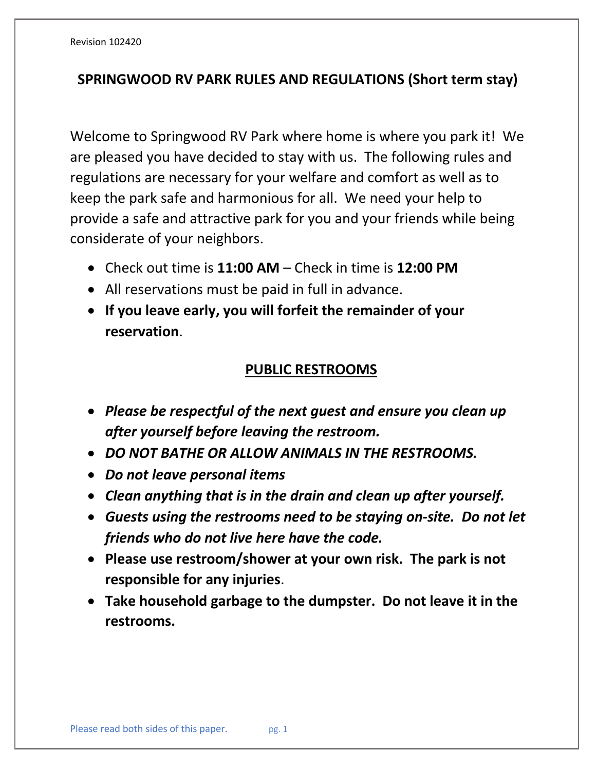## **SPRINGWOOD RV PARK RULES AND REGULATIONS (Short term stay)**

Welcome to Springwood RV Park where home is where you park it! We are pleased you have decided to stay with us. The following rules and regulations are necessary for your welfare and comfort as well as to keep the park safe and harmonious for all. We need your help to provide a safe and attractive park for you and your friends while being considerate of your neighbors.

- Check out time is **11:00 AM** Check in time is **12:00 PM**
- All reservations must be paid in full in advance.
- **If you leave early, you will forfeit the remainder of your reservation**.

## **PUBLIC RESTROOMS**

- *Please be respectful of the next guest and ensure you clean up after yourself before leaving the restroom.*
- *DO NOT BATHE OR ALLOW ANIMALS IN THE RESTROOMS.*
- *Do not leave personal items*
- *Clean anything that is in the drain and clean up after yourself.*
- *Guests using the restrooms need to be staying on-site. Do not let friends who do not live here have the code.*
- **Please use restroom/shower at your own risk. The park is not responsible for any injuries**.
- **Take household garbage to the dumpster. Do not leave it in the restrooms.**